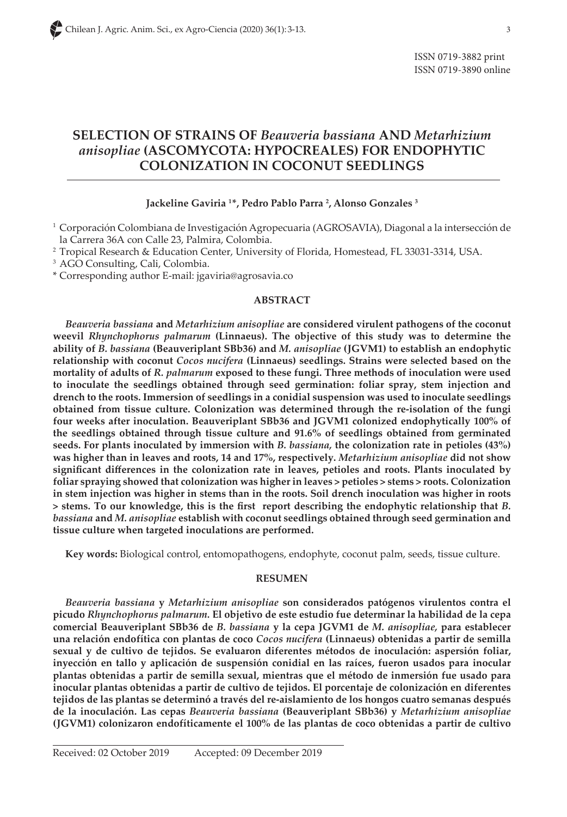# **SELECTION OF STRAINS OF** *Beauveria bassiana* **AND** *Metarhizium anisopliae* **(ASCOMYCOTA: HYPOCREALES) FOR ENDOPHYTIC COLONIZATION IN COCONUT SEEDLINGS**

### **Jackeline Gaviria 1\*, Pedro Pablo Parra 2 , Alonso Gonzales 3**

 $1$  Corporación Colombiana de Investigación Agropecuaria (AGROSAVIA), Diagonal a la intersección de la Carrera 36A con Calle 23, Palmira, Colombia.

2 Tropical Research & Education Center, University of Florida, Homestead, FL 33031-3314, USA.

<sup>3</sup> AGO Consulting, Cali, Colombia.

\* Corresponding author E-mail: jgaviria@agrosavia.co

#### **ABSTRACT**

*Beauveria bassiana* **and** *Metarhizium anisopliae* **are considered virulent pathogens of the coconut weevil** *Rhynchophorus palmarum* **(Linnaeus). The objective of this study was to determine the ability of** *B. bassiana* **(Beauveriplant SBb36) and** *M. anisopliae* **(JGVM1) to establish an endophytic relationship with coconut** *Cocos nucifera* **(Linnaeus) seedlings. Strains were selected based on the mortality of adults of** *R. palmarum* **exposed to these fungi. Three methods of inoculation were used to inoculate the seedlings obtained through seed germination: foliar spray, stem injection and drench to the roots. Immersion of seedlings in a conidial suspension was used to inoculate seedlings obtained from tissue culture. Colonization was determined through the re-isolation of the fungi four weeks after inoculation. Beauveriplant SBb36 and JGVM1 colonized endophytically 100% of the seedlings obtained through tissue culture and 91.6% of seedlings obtained from germinated seeds. For plants inoculated by immersion with** *B. bassiana,* **the colonization rate in petioles (43%) was higher than in leaves and roots, 14 and 17%, respectively.** *Metarhizium anisopliae* **did not show significant differences in the colonization rate in leaves, petioles and roots. Plants inoculated by foliar spraying showed that colonization was higher in leaves > petioles > stems > roots. Colonization in stem injection was higher in stems than in the roots. Soil drench inoculation was higher in roots > stems. To our knowledge, this is the first report describing the endophytic relationship that** *B. bassiana* **and** *M. anisopliae* **establish with coconut seedlings obtained through seed germination and tissue culture when targeted inoculations are performed.**

**Key words:** Biological control, entomopathogens, endophyte, coconut palm, seeds, tissue culture.

#### **RESUMEN**

*Beauveria bassiana* **y** *Metarhizium anisopliae* **son considerados patógenos virulentos contra el picudo** *Rhynchophorus palmarum.* **El objetivo de este estudio fue determinar la habilidad de la cepa comercial Beauveriplant SBb36 de** *B. bassiana* **y la cepa JGVM1 de** *M. anisopliae,* **para establecer una relación endofítica con plantas de coco** *Cocos nucifera* **(Linnaeus) obtenidas a partir de semilla sexual y de cultivo de tejidos. Se evaluaron diferentes métodos de inoculación: aspersión foliar, inyección en tallo y aplicación de suspensión conidial en las raíces, fueron usados para inocular plantas obtenidas a partir de semilla sexual, mientras que el método de inmersión fue usado para inocular plantas obtenidas a partir de cultivo de tejidos. El porcentaje de colonización en diferentes tejidos de las plantas se determinó a través del re-aislamiento de los hongos cuatro semanas después de la inoculación. Las cepas** *Beauveria bassiana* **(Beauveriplant SBb36) y** *Metarhizium anisopliae*  **(JGVM1) colonizaron endofíticamente el 100% de las plantas de coco obtenidas a partir de cultivo**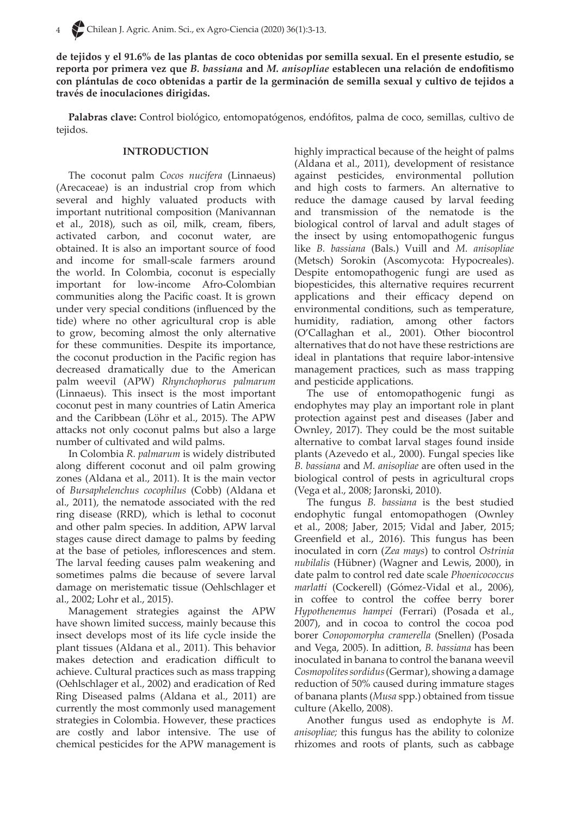**de tejidos y el 91.6% de las plantas de coco obtenidas por semilla sexual. En el presente estudio, se reporta por primera vez que** *B. bassiana* **and** *M. anisopliae* **establecen una relación de endofitismo con plántulas de coco obtenidas a partir de la germinación de semilla sexual y cultivo de tejidos a través de inoculaciones dirigidas.**

**Palabras clave:** Control biológico, entomopatógenos, endófitos, palma de coco, semillas, cultivo de tejidos.

### **INTRODUCTION**

The coconut palm *Cocos nucifera* (Linnaeus) (Arecaceae) is an industrial crop from which several and highly valuated products with important nutritional composition (Manivannan et al., 2018), such as oil, milk, cream, fibers, activated carbon, and coconut water, are obtained. It is also an important source of food and income for small-scale farmers around the world. In Colombia, coconut is especially important for low-income Afro-Colombian communities along the Pacific coast. It is grown under very special conditions (influenced by the tide) where no other agricultural crop is able to grow, becoming almost the only alternative for these communities. Despite its importance, the coconut production in the Pacific region has decreased dramatically due to the American palm weevil (APW) *Rhynchophorus palmarum* (Linnaeus). This insect is the most important coconut pest in many countries of Latin America and the Caribbean (Löhr et al., 2015). The APW attacks not only coconut palms but also a large number of cultivated and wild palms.

In Colombia *R. palmarum* is widely distributed along different coconut and oil palm growing zones (Aldana et al., 2011). It is the main vector of *Bursaphelenchus cocophilus* (Cobb) (Aldana et al., 2011), the nematode associated with the red ring disease (RRD), which is lethal to coconut and other palm species. In addition, APW larval stages cause direct damage to palms by feeding at the base of petioles, inflorescences and stem. The larval feeding causes palm weakening and sometimes palms die because of severe larval damage on meristematic tissue (Oehlschlager et al., 2002; Lohr et al., 2015).

Management strategies against the APW have shown limited success, mainly because this insect develops most of its life cycle inside the plant tissues (Aldana et al., 2011). This behavior makes detection and eradication difficult to achieve. Cultural practices such as mass trapping (Oehlschlager et al., 2002) and eradication of Red Ring Diseased palms (Aldana et al., 2011) are currently the most commonly used management strategies in Colombia. However, these practices are costly and labor intensive. The use of chemical pesticides for the APW management is highly impractical because of the height of palms (Aldana et al., 2011), development of resistance against pesticides, environmental pollution and high costs to farmers. An alternative to reduce the damage caused by larval feeding and transmission of the nematode is the biological control of larval and adult stages of the insect by using entomopathogenic fungus like *B. bassiana* (Bals.) Vuill and *M. anisopliae* (Metsch) Sorokin (Ascomycota: Hypocreales). Despite entomopathogenic fungi are used as biopesticides, this alternative requires recurrent applications and their efficacy depend on environmental conditions, such as temperature, humidity, radiation, among other factors (O'Callaghan et al., 2001). Other biocontrol alternatives that do not have these restrictions are ideal in plantations that require labor-intensive management practices, such as mass trapping and pesticide applications.

The use of entomopathogenic fungi as endophytes may play an important role in plant protection against pest and diseases (Jaber and Ownley, 2017). They could be the most suitable alternative to combat larval stages found inside plants (Azevedo et al., 2000). Fungal species like *B. bassiana* and *M. anisopliae* are often used in the biological control of pests in agricultural crops (Vega et al., 2008; Jaronski, 2010).

The fungus *B. bassiana* is the best studied endophytic fungal entomopathogen (Ownley et al., 2008; Jaber, 2015; Vidal and Jaber, 2015; Greenfield et al., 2016). This fungus has been inoculated in corn (*Zea mays*) to control *Ostrinia nubilalis* (Hübner) (Wagner and Lewis, 2000), in date palm to control red date scale *Phoenicococcus marlatti* (Cockerell) (Gómez-Vidal et al., 2006), in coffee to control the coffee berry borer *Hypothenemus hampei* (Ferrari) (Posada et al., 2007), and in cocoa to control the cocoa pod borer *Conopomorpha cramerella* (Snellen) (Posada and Vega, 2005). In adittion, *B. bassiana* has been inoculated in banana to control the banana weevil *Cosmopolites sordidus* (Germar), showing a damage reduction of 50% caused during immature stages of banana plants (*Musa* spp.) obtained from tissue culture (Akello, 2008).

Another fungus used as endophyte is *M. anisopliae;* this fungus has the ability to colonize rhizomes and roots of plants, such as cabbage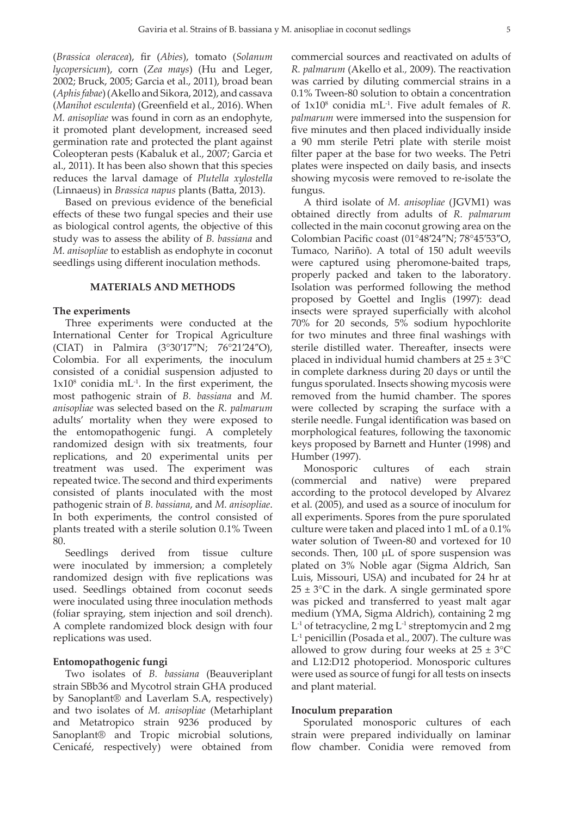(*Brassica oleracea*), fir (*Abies*), tomato (*Solanum lycopersicum*), corn (*Zea mays*) (Hu and Leger, 2002; Bruck, 2005; Garcia et al., 2011), broad bean (*Aphis fabae*) (Akello and Sikora, 2012), and cassava (*Manihot esculenta*) (Greenfield et al., 2016). When *M. anisopliae* was found in corn as an endophyte, it promoted plant development, increased seed germination rate and protected the plant against Coleopteran pests (Kabaluk et al., 2007; Garcia et al., 2011). It has been also shown that this species reduces the larval damage of *Plutella xylostella* (Linnaeus) in *Brassica napus* plants (Batta, 2013).

Based on previous evidence of the beneficial effects of these two fungal species and their use as biological control agents, the objective of this study was to assess the ability of *B. bassiana* and *M. anisopliae* to establish as endophyte in coconut seedlings using different inoculation methods.

# **MATERIALS AND METHODS**

#### **The experiments**

Three experiments were conducted at the International Center for Tropical Agriculture (CIAT) in Palmira (3°30′17″N; 76°21′24″O), Colombia. For all experiments, the inoculum consisted of a conidial suspension adjusted to  $1x10<sup>8</sup>$  conidia mL $^{-1}$ . In the first experiment, the most pathogenic strain of *B. bassiana* and *M. anisopliae* was selected based on the *R. palmarum* adults' mortality when they were exposed to the entomopathogenic fungi. A completely randomized design with six treatments, four replications, and 20 experimental units per treatment was used. The experiment was repeated twice. The second and third experiments consisted of plants inoculated with the most pathogenic strain of *B. bassiana*, and *M. anisopliae*. In both experiments, the control consisted of plants treated with a sterile solution 0.1% Tween 80.

Seedlings derived from tissue culture were inoculated by immersion; a completely randomized design with five replications was used. Seedlings obtained from coconut seeds were inoculated using three inoculation methods (foliar spraying, stem injection and soil drench). A complete randomized block design with four replications was used.

#### **Entomopathogenic fungi**

Two isolates of *B. bassiana* (Beauveriplant strain SBb36 and Mycotrol strain GHA produced by Sanoplant® and Laverlam S.A, respectively) and two isolates of *M. anisopliae* (Metarhiplant and Metatropico strain 9236 produced by Sanoplant® and Tropic microbial solutions, Cenicafé, respectively) were obtained from

commercial sources and reactivated on adults of *R. palmarum* (Akello et al*.,* 2009). The reactivation was carried by diluting commercial strains in a 0.1% Tween-80 solution to obtain a concentration of 1x108 conidia mL-1. Five adult females of *R. palmarum* were immersed into the suspension for five minutes and then placed individually inside a 90 mm sterile Petri plate with sterile moist filter paper at the base for two weeks. The Petri plates were inspected on daily basis, and insects showing mycosis were removed to re-isolate the fungus.

A third isolate of *M. anisopliae* (JGVM1) was obtained directly from adults of *R. palmarum* collected in the main coconut growing area on the Colombian Pacific coast (01°48′24″N; 78°45′53″O, Tumaco, Nariño). A total of 150 adult weevils were captured using pheromone-baited traps, properly packed and taken to the laboratory. Isolation was performed following the method proposed by Goettel and Inglis (1997): dead insects were sprayed superficially with alcohol 70% for 20 seconds, 5% sodium hypochlorite for two minutes and three final washings with sterile distilled water. Thereafter, insects were placed in individual humid chambers at  $25 \pm 3$ °C in complete darkness during 20 days or until the fungus sporulated. Insects showing mycosis were removed from the humid chamber. The spores were collected by scraping the surface with a sterile needle. Fungal identification was based on morphological features, following the taxonomic keys proposed by Barnett and Hunter (1998) and Humber (1997).

Monosporic cultures of each strain (commercial and native) were prepared according to the protocol developed by Alvarez et al. (2005), and used as a source of inoculum for all experiments. Spores from the pure sporulated culture were taken and placed into 1 mL of a 0.1% water solution of Tween-80 and vortexed for 10 seconds. Then, 100 μL of spore suspension was plated on 3% Noble agar (Sigma Aldrich, San Luis, Missouri, USA) and incubated for 24 hr at  $25 \pm 3$ °C in the dark. A single germinated spore was picked and transferred to yeast malt agar medium (YMA, Sigma Aldrich), containing 2 mg  $L^{-1}$  of tetracycline, 2 mg  $L^{-1}$  streptomycin and 2 mg L-1 penicillin (Posada et al., 2007). The culture was allowed to grow during four weeks at  $25 \pm 3^{\circ}\text{C}$ and L12:D12 photoperiod. Monosporic cultures were used as source of fungi for all tests on insects and plant material.

#### **Inoculum preparation**

Sporulated monosporic cultures of each strain were prepared individually on laminar flow chamber. Conidia were removed from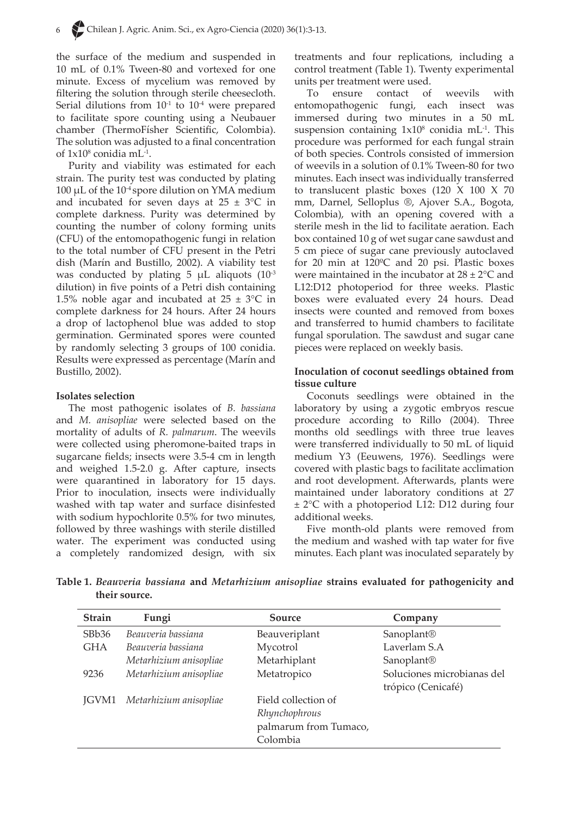the surface of the medium and suspended in 10 mL of 0.1% Tween-80 and vortexed for one minute. Excess of mycelium was removed by filtering the solution through sterile cheesecloth. Serial dilutions from  $10^{-1}$  to  $10^{-4}$  were prepared to facilitate spore counting using a Neubauer chamber (ThermoFísher Scientific, Colombia). The solution was adjusted to a final concentration of  $1x10^8$  conidia mL<sup>-1</sup>.

Purity and viability was estimated for each strain. The purity test was conducted by plating 100 µL of the 10-4 spore dilution on YMA medium and incubated for seven days at  $25 \pm 3^{\circ}$ C in complete darkness. Purity was determined by counting the number of colony forming units (CFU) of the entomopathogenic fungi in relation to the total number of CFU present in the Petri dish (Marín and Bustillo, 2002). A viability test was conducted by plating  $5 \mu L$  aliquots ( $10^{-3}$ ) dilution) in five points of a Petri dish containing 1.5% noble agar and incubated at  $25 \pm 3^{\circ}\text{C}$  in complete darkness for 24 hours. After 24 hours a drop of lactophenol blue was added to stop germination. Germinated spores were counted by randomly selecting 3 groups of 100 conidia. Results were expressed as percentage (Marín and Bustillo, 2002).

### **Isolates selection**

The most pathogenic isolates of *B. bassiana* and *M. anisopliae* were selected based on the mortality of adults of *R. palmarum*. The weevils were collected using pheromone-baited traps in sugarcane fields; insects were 3.5-4 cm in length and weighed 1.5-2.0 g. After capture, insects were quarantined in laboratory for 15 days. Prior to inoculation, insects were individually washed with tap water and surface disinfested with sodium hypochlorite 0.5% for two minutes, followed by three washings with sterile distilled water. The experiment was conducted using a completely randomized design, with six

treatments and four replications, including a control treatment (Table 1). Twenty experimental units per treatment were used.

To ensure contact of weevils with entomopathogenic fungi, each insect was immersed during two minutes in a 50 mL suspension containing  $1x10^8$  conidia mL<sup>-1</sup>. This procedure was performed for each fungal strain of both species. Controls consisted of immersion of weevils in a solution of 0.1% Tween-80 for two minutes. Each insect was individually transferred to translucent plastic boxes (120 X 100 X 70 mm, Darnel, Selloplus ®, Ajover S.A., Bogota, Colombia), with an opening covered with a sterile mesh in the lid to facilitate aeration. Each box contained 10 g of wet sugar cane sawdust and 5 cm piece of sugar cane previously autoclaved for 20 min at 120ºC and 20 psi. Plastic boxes were maintained in the incubator at  $28 \pm 2^{\circ}$ C and L12:D12 photoperiod for three weeks. Plastic boxes were evaluated every 24 hours. Dead insects were counted and removed from boxes and transferred to humid chambers to facilitate fungal sporulation. The sawdust and sugar cane pieces were replaced on weekly basis.

# **Inoculation of coconut seedlings obtained from tissue culture**

Coconuts seedlings were obtained in the laboratory by using a zygotic embryos rescue procedure according to Rillo (2004). Three months old seedlings with three true leaves were transferred individually to 50 mL of liquid medium Y3 (Eeuwens, 1976). Seedlings were covered with plastic bags to facilitate acclimation and root development. Afterwards, plants were maintained under laboratory conditions at 27 ± 2°C with a photoperiod L12: D12 during four additional weeks.

Five month-old plants were removed from the medium and washed with tap water for five minutes. Each plant was inoculated separately by

| <b>Strain</b> | Fungi                  | Source                                                                    | Company                                          |
|---------------|------------------------|---------------------------------------------------------------------------|--------------------------------------------------|
| SBb36         | Beauveria bassiana     | Beauveriplant                                                             | Sanoplant®                                       |
| <b>GHA</b>    | Beauveria bassiana     | Mycotrol                                                                  | Laverlam S.A                                     |
|               | Metarhizium anisopliae | Metarhiplant                                                              | Sanoplant <sup>®</sup>                           |
| 9236          | Metarhizium anisopliae | Metatropico                                                               | Soluciones microbianas del<br>trópico (Cenicafé) |
| IGVM1         | Metarhizium anisopliae | Field collection of<br>Rhynchophrous<br>palmarum from Tumaco,<br>Colombia |                                                  |

**Table 1.** *Beauveria bassiana* **and** *Metarhizium anisopliae* **strains evaluated for pathogenicity and their source.**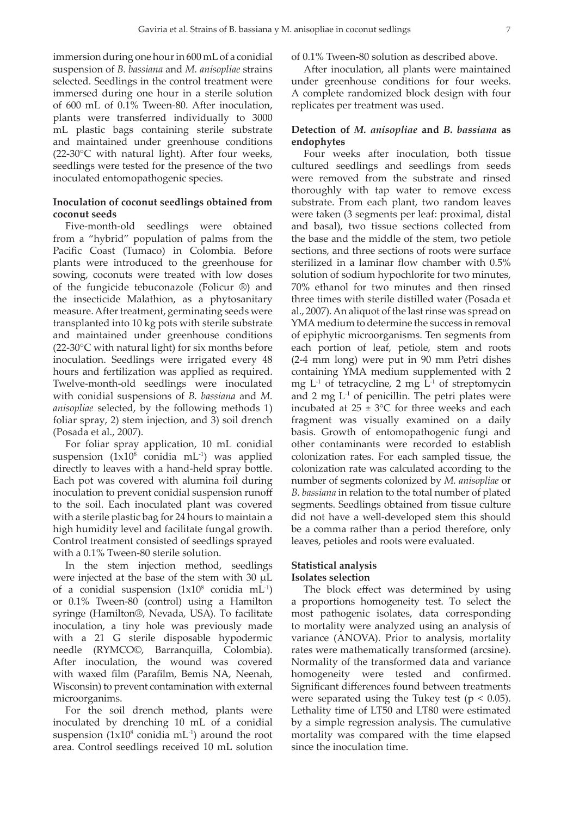immersion during one hour in 600 mL of a conidial suspension of *B. bassiana* and *M. anisopliae* strains selected. Seedlings in the control treatment were immersed during one hour in a sterile solution of 600 mL of 0.1% Tween-80. After inoculation, plants were transferred individually to 3000 mL plastic bags containing sterile substrate and maintained under greenhouse conditions (22-30°C with natural light). After four weeks, seedlings were tested for the presence of the two inoculated entomopathogenic species.

# **Inoculation of coconut seedlings obtained from coconut seeds**

Five-month-old seedlings were obtained from a "hybrid" population of palms from the Pacific Coast (Tumaco) in Colombia. Before plants were introduced to the greenhouse for sowing, coconuts were treated with low doses of the fungicide tebuconazole (Folicur ®) and the insecticide Malathion, as a phytosanitary measure. After treatment, germinating seeds were transplanted into 10 kg pots with sterile substrate and maintained under greenhouse conditions (22-30°C with natural light) for six months before inoculation. Seedlings were irrigated every 48 hours and fertilization was applied as required. Twelve-month-old seedlings were inoculated with conidial suspensions of *B. bassiana* and *M. anisopliae* selected, by the following methods 1) foliar spray, 2) stem injection, and 3) soil drench (Posada et al., 2007).

For foliar spray application, 10 mL conidial suspension  $(1x10<sup>8</sup>$  conidia mL<sup>-1</sup>) was applied directly to leaves with a hand-held spray bottle. Each pot was covered with alumina foil during inoculation to prevent conidial suspension runoff to the soil. Each inoculated plant was covered with a sterile plastic bag for 24 hours to maintain a high humidity level and facilitate fungal growth. Control treatment consisted of seedlings sprayed with a 0.1% Tween-80 sterile solution.

In the stem injection method, seedlings were injected at the base of the stem with 30 μL of a conidial suspension  $(1x10^8 \text{ conidia } mL^{-1})$ or 0.1% Tween-80 (control) using a Hamilton syringe (Hamilton®, Nevada, USA). To facilitate inoculation, a tiny hole was previously made with a 21 G sterile disposable hypodermic needle (RYMCO©, Barranquilla, Colombia). After inoculation, the wound was covered with waxed film (Parafilm, Bemis NA, Neenah, Wisconsin) to prevent contamination with external microorganims.

For the soil drench method, plants were inoculated by drenching 10 mL of a conidial suspension  $(1x10<sup>8</sup>$  conidia mL<sup>-1</sup>) around the root area. Control seedlings received 10 mL solution

of 0.1% Tween-80 solution as described above.

After inoculation, all plants were maintained under greenhouse conditions for four weeks. A complete randomized block design with four replicates per treatment was used.

### **Detection of** *M. anisopliae* **and** *B. bassiana* **as endophytes**

Four weeks after inoculation, both tissue cultured seedlings and seedlings from seeds were removed from the substrate and rinsed thoroughly with tap water to remove excess substrate. From each plant, two random leaves were taken (3 segments per leaf: proximal, distal and basal), two tissue sections collected from the base and the middle of the stem, two petiole sections, and three sections of roots were surface sterilized in a laminar flow chamber with 0.5% solution of sodium hypochlorite for two minutes, 70% ethanol for two minutes and then rinsed three times with sterile distilled water (Posada et al., 2007). An aliquot of the last rinse was spread on YMA medium to determine the success in removal of epiphytic microorganisms. Ten segments from each portion of leaf, petiole, stem and roots (2-4 mm long) were put in 90 mm Petri dishes containing YMA medium supplemented with 2 mg  $L^{-1}$  of tetracycline, 2 mg  $L^{-1}$  of streptomycin and  $2 \text{ mg } L^1$  of penicillin. The petri plates were incubated at  $25 \pm 3$ °C for three weeks and each fragment was visually examined on a daily basis. Growth of entomopathogenic fungi and other contaminants were recorded to establish colonization rates. For each sampled tissue, the colonization rate was calculated according to the number of segments colonized by *M. anisopliae* or *B. bassiana* in relation to the total number of plated segments. Seedlings obtained from tissue culture did not have a well-developed stem this should be a comma rather than a period therefore, only leaves, petioles and roots were evaluated.

#### **Statistical analysis Isolates selection**

The block effect was determined by using a proportions homogeneity test. To select the most pathogenic isolates, data corresponding to mortality were analyzed using an analysis of variance (ANOVA). Prior to analysis, mortality rates were mathematically transformed (arcsine). Normality of the transformed data and variance homogeneity were tested and confirmed. Significant differences found between treatments were separated using the Tukey test ( $p < 0.05$ ). Lethality time of LT50 and LT80 were estimated by a simple regression analysis. The cumulative mortality was compared with the time elapsed since the inoculation time.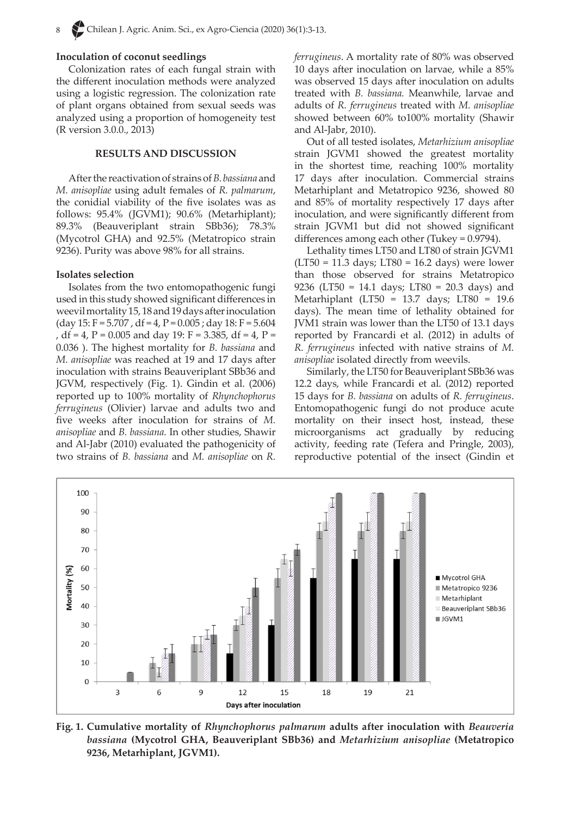### **Inoculation of coconut seedlings**

Colonization rates of each fungal strain with the different inoculation methods were analyzed using a logistic regression. The colonization rate of plant organs obtained from sexual seeds was analyzed using a proportion of homogeneity test (R version 3.0.0., 2013)

# **RESULTS AND DISCUSSION**

After the reactivation of strains of *B. bassiana* and *M. anisopliae* using adult females of *R. palmarum*, the conidial viability of the five isolates was as follows: 95.4% (JGVM1); 90.6% (Metarhiplant); 89.3% (Beauveriplant strain SBb36); 78.3% (Mycotrol GHA) and 92.5% (Metatropico strain 9236). Purity was above 98% for all strains.

#### **Isolates selection**

Isolates from the two entomopathogenic fungi used in this study showed significant differences in weevil mortality 15, 18 and 19 days after inoculation  $(\text{day } 15: F = 5.707, df = 4, P = 0.005; day 18: F = 5.604$ , df = 4, P =  $0.005$  and day 19: F = 3.385, df = 4, P = 0.036 ). The highest mortality for *B. bassiana* and *M. anisopliae* was reached at 19 and 17 days after inoculation with strains Beauveriplant SBb36 and JGVM, respectively (Fig. 1). Gindin et al. (2006) reported up to 100% mortality of *Rhynchophorus ferrugineus* (Olivier) larvae and adults two and five weeks after inoculation for strains of *M. anisopliae* and *B. bassiana.* In other studies, Shawir and Al-Jabr (2010) evaluated the pathogenicity of two strains of *B. bassiana* and *M. anisopliae* on *R.* 

*ferrugineus*. A mortality rate of 80% was observed 10 days after inoculation on larvae, while a 85% was observed 15 days after inoculation on adults treated with *B. bassiana.* Meanwhile, larvae and adults of *R. ferrugineus* treated with *M. anisopliae* showed between 60% to100% mortality (Shawir and Al-Jabr, 2010).

Out of all tested isolates, *Metarhizium anisopliae* strain JGVM1 showed the greatest mortality in the shortest time, reaching 100% mortality 17 days after inoculation. Commercial strains Metarhiplant and Metatropico 9236, showed 80 and 85% of mortality respectively 17 days after inoculation, and were significantly different from strain JGVM1 but did not showed significant differences among each other (Tukey = 0.9794).

Lethality times LT50 and LT80 of strain JGVM1 (LT50 = 11.3 days; LT80 = 16.2 days) were lower than those observed for strains Metatropico 9236 (LT50 = 14.1 days; LT80 = 20.3 days) and Metarhiplant (LT50 = 13.7 days; LT80 = 19.6 days). The mean time of lethality obtained for JVM1 strain was lower than the LT50 of 13.1 days reported by Francardi et al. (2012) in adults of *R. ferrugineus* infected with native strains of *M. anisopliae* isolated directly from weevils.

Similarly, the LT50 for Beauveriplant SBb36 was 12.2 days, while Francardi et al. (2012) reported 15 days for *B. bassiana* on adults of *R. ferrugineus*. Entomopathogenic fungi do not produce acute mortality on their insect host, instead, these microorganisms act gradually by reducing activity, feeding rate (Tefera and Pringle, 2003), reproductive potential of the insect (Gindin et



**Fig. 1. Cumulative mortality of** *Rhynchophorus palmarum* **adults after inoculation with** *Beauveria bassiana* **(Mycotrol GHA, Beauveriplant SBb36) and** *Metarhizium anisopliae* **(Metatropico 9236, Metarhiplant, JGVM1).**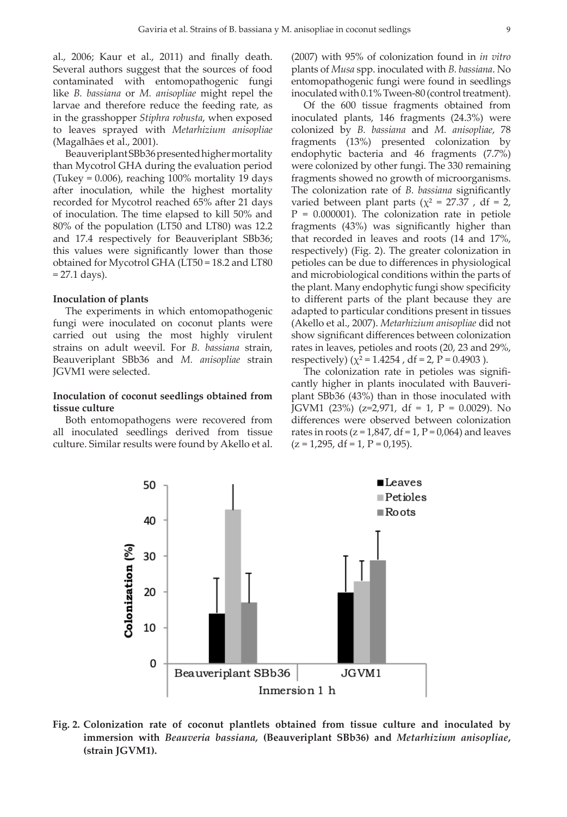al., 2006; Kaur et al., 2011) and finally death. Several authors suggest that the sources of food contaminated with entomopathogenic fungi like *B. bassiana* or *M. anisopliae* might repel the larvae and therefore reduce the feeding rate, as in the grasshopper *Stiphra robusta*, when exposed to leaves sprayed with *Metarhizium anisopliae* (Magalhães et al., 2001).

Beauveriplant SBb36 presented higher mortality than Mycotrol GHA during the evaluation period (Tukey =  $0.006$ ), reaching 100% mortality 19 days after inoculation, while the highest mortality recorded for Mycotrol reached 65% after 21 days of inoculation. The time elapsed to kill 50% and 80% of the population (LT50 and LT80) was 12.2 and 17.4 respectively for Beauveriplant SBb36; this values were significantly lower than those obtained for Mycotrol GHA (LT50 = 18.2 and LT80  $= 27.1$  days).

#### **Inoculation of plants**

The experiments in which entomopathogenic fungi were inoculated on coconut plants were carried out using the most highly virulent strains on adult weevil. For *B. bassiana* strain, Beauveriplant SBb36 and *M. anisopliae* strain JGVM1 were selected.

# **Inoculation of coconut seedlings obtained from tissue culture**

Both entomopathogens were recovered from all inoculated seedlings derived from tissue culture. Similar results were found by Akello et al. (2007) with 95% of colonization found in *in vitro* plants of *Musa* spp. inoculated with *B. bassiana*. No entomopathogenic fungi were found in seedlings inoculated with 0.1% Tween-80 (control treatment).

Of the 600 tissue fragments obtained from inoculated plants, 146 fragments (24.3%) were colonized by *B. bassiana* and *M. anisopliae*, 78 fragments (13%) presented colonization by endophytic bacteria and 46 fragments (7.7%) were colonized by other fungi. The 330 remaining fragments showed no growth of microorganisms. The colonization rate of *B. bassiana* significantly varied between plant parts ( $\chi^2$  = 27.37, df = 2,  $P = 0.000001$ . The colonization rate in petiole fragments (43%) was significantly higher than that recorded in leaves and roots (14 and 17%, respectively) (Fig. 2). The greater colonization in petioles can be due to differences in physiological and microbiological conditions within the parts of the plant. Many endophytic fungi show specificity to different parts of the plant because they are adapted to particular conditions present in tissues (Akello et al., 2007). *Metarhizium anisopliae* did not show significant differences between colonization rates in leaves, petioles and roots (20, 23 and 29%, respectively) ( $\chi^2$  = 1.4254, df = 2, P = 0.4903).

The colonization rate in petioles was significantly higher in plants inoculated with Bauveriplant SBb36 (43%) than in those inoculated with JGVM1 (23%) ( $z=2.971$ , df = 1, P = 0.0029). No differences were observed between colonization rates in roots ( $z = 1,847$ , df = 1, P = 0,064) and leaves  $(z = 1,295, df = 1, P = 0,195).$ 

 $\blacksquare$ Leaves 50  $\blacksquare$  Petioles  $\blacksquare$  Roots 40 Colonization (%) 30 20 10 0 Beauveriplant SBb36 JGVM1 Inmersion 1 h

**Fig. 2. Colonization rate of coconut plantlets obtained from tissue culture and inoculated by immersion with** *Beauveria bassiana,* **(Beauveriplant SBb36) and** *Metarhizium anisopliae***, (strain JGVM1).**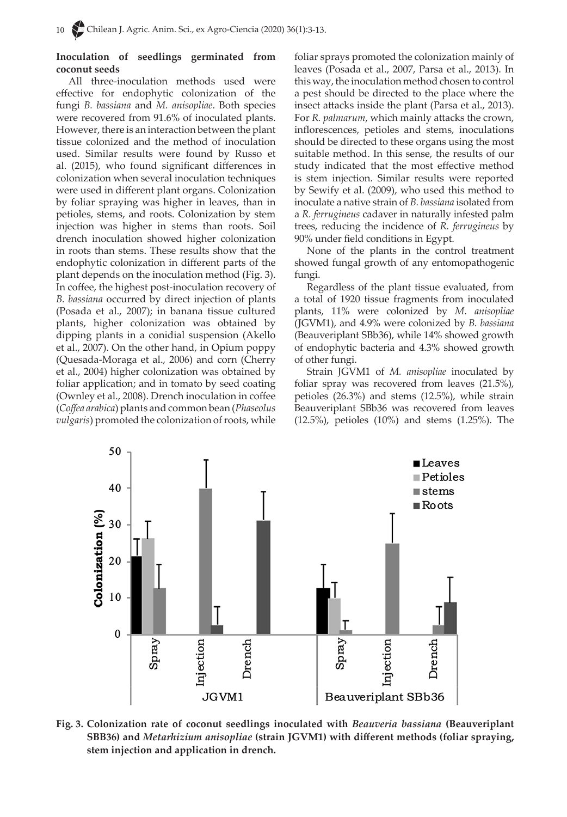### **Inoculation of seedlings germinated from coconut seeds**

All three-inoculation methods used were effective for endophytic colonization of the fungi *B. bassiana* and *M. anisopliae*. Both species were recovered from 91.6% of inoculated plants. However, there is an interaction between the plant tissue colonized and the method of inoculation used. Similar results were found by Russo et al. (2015), who found significant differences in colonization when several inoculation techniques were used in different plant organs. Colonization by foliar spraying was higher in leaves, than in petioles, stems, and roots. Colonization by stem injection was higher in stems than roots. Soil drench inoculation showed higher colonization in roots than stems. These results show that the endophytic colonization in different parts of the plant depends on the inoculation method (Fig. 3). In coffee, the highest post-inoculation recovery of *B. bassiana* occurred by direct injection of plants (Posada et al., 2007); in banana tissue cultured plants, higher colonization was obtained by dipping plants in a conidial suspension (Akello et al., 2007). On the other hand, in Opium poppy (Quesada-Moraga et al., 2006) and corn (Cherry et al., 2004) higher colonization was obtained by foliar application; and in tomato by seed coating (Ownley et al., 2008). Drench inoculation in coffee (*Coffea arabica*) plants and common bean (*Phaseolus vulgaris*) promoted the colonization of roots, while

foliar sprays promoted the colonization mainly of leaves (Posada et al., 2007, Parsa et al., 2013). In this way, the inoculation method chosen to control a pest should be directed to the place where the insect attacks inside the plant (Parsa et al., 2013). For *R. palmarum*, which mainly attacks the crown, inflorescences, petioles and stems, inoculations should be directed to these organs using the most suitable method. In this sense, the results of our study indicated that the most effective method is stem injection. Similar results were reported by Sewify et al. (2009), who used this method to inoculate a native strain of *B. bassiana* isolated from a *R. ferrugineus* cadaver in naturally infested palm trees, reducing the incidence of *R. ferrugineus* by 90% under field conditions in Egypt.

None of the plants in the control treatment showed fungal growth of any entomopathogenic fungi.

Regardless of the plant tissue evaluated, from a total of 1920 tissue fragments from inoculated plants, 11% were colonized by *M. anisopliae* (JGVM1), and 4.9% were colonized by *B. bassiana* (Beauveriplant SBb36), while 14% showed growth of endophytic bacteria and 4.3% showed growth of other fungi.

Strain JGVM1 of *M. anisopliae* inoculated by foliar spray was recovered from leaves (21.5%), petioles (26.3%) and stems (12.5%), while strain Beauveriplant SBb36 was recovered from leaves (12.5%), petioles (10%) and stems (1.25%). The



**Fig. 3. Colonization rate of coconut seedlings inoculated with** *Beauveria bassiana* **(Beauveriplant SBB36) and** *Metarhizium anisopliae* **(strain JGVM1) with different methods (foliar spraying, stem injection and application in drench.**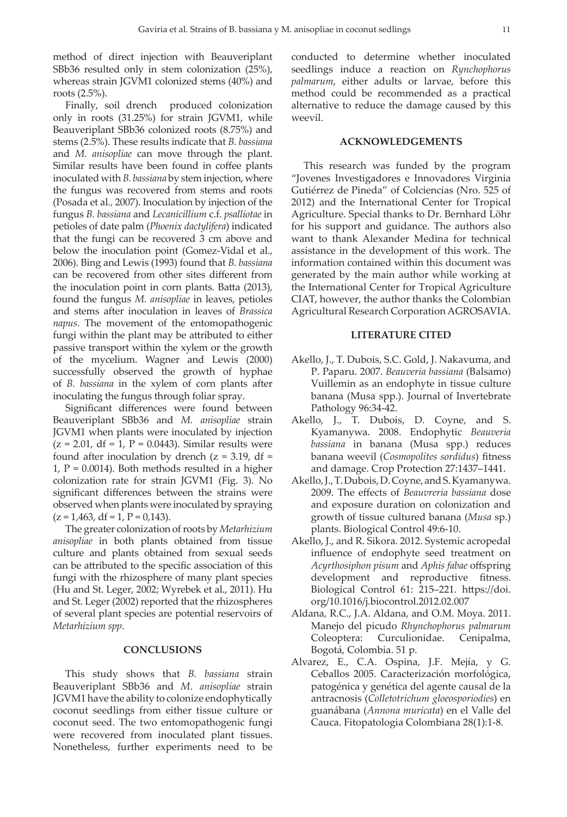method of direct injection with Beauveriplant SBb36 resulted only in stem colonization (25%), whereas strain JGVM1 colonized stems (40%) and roots (2.5%).

Finally, soil drench produced colonization only in roots (31.25%) for strain JGVM1, while Beauveriplant SBb36 colonized roots (8.75%) and stems (2.5%). These results indicate that *B. bassiana* and *M. anisopliae* can move through the plant. Similar results have been found in coffee plants inoculated with *B. bassiana* by stem injection, where the fungus was recovered from stems and roots (Posada et al*.,* 2007). Inoculation by injection of the fungus *B. bassiana* and *Lecanicillium* c.f. *psalliotae* in petioles of date palm (*Phoenix dactylifera*) indicated that the fungi can be recovered 3 cm above and below the inoculation point (Gomez-Vidal et al., 2006). Bing and Lewis (1993) found that *B. bassiana* can be recovered from other sites different from the inoculation point in corn plants. Batta (2013), found the fungus *M. anisopliae* in leaves, petioles and stems after inoculation in leaves of *Brassica napus*. The movement of the entomopathogenic fungi within the plant may be attributed to either passive transport within the xylem or the growth of the mycelium. Wagner and Lewis (2000) successfully observed the growth of hyphae of *B. bassiana* in the xylem of corn plants after inoculating the fungus through foliar spray.

Significant differences were found between Beauveriplant SBb36 and *M. anisopliae* strain JGVM1 when plants were inoculated by injection  $(z = 2.01, df = 1, P = 0.0443)$ . Similar results were found after inoculation by drench  $(z = 3.19, df =$ 1,  $P = 0.0014$ ). Both methods resulted in a higher colonization rate for strain JGVM1 (Fig. 3). No significant differences between the strains were observed when plants were inoculated by spraying  $(z = 1,463, df = 1, P = 0,143).$ 

The greater colonization of roots by *Metarhizium anisopliae* in both plants obtained from tissue culture and plants obtained from sexual seeds can be attributed to the specific association of this fungi with the rhizosphere of many plant species (Hu and St. Leger, 2002; Wyrebek et al., 2011). Hu and St. Leger (2002) reported that the rhizospheres of several plant species are potential reservoirs of *Metarhizium spp*.

### **CONCLUSIONS**

This study shows that *B. bassiana* strain Beauveriplant SBb36 and *M. anisopliae* strain JGVM1 have the ability to colonize endophytically coconut seedlings from either tissue culture or coconut seed. The two entomopathogenic fungi were recovered from inoculated plant tissues. Nonetheless, further experiments need to be conducted to determine whether inoculated seedlings induce a reaction on *Rynchophorus palmarum*, either adults or larvae, before this method could be recommended as a practical alternative to reduce the damage caused by this weevil.

### **ACKNOWLEDGEMENTS**

This research was funded by the program "Jovenes Investigadores e Innovadores Virginia Gutiérrez de Pineda" of Colciencias (Nro. 525 of 2012) and the International Center for Tropical Agriculture. Special thanks to Dr. Bernhard Löhr for his support and guidance. The authors also want to thank Alexander Medina for technical assistance in the development of this work. The information contained within this document was generated by the main author while working at the International Center for Tropical Agriculture CIAT, however, the author thanks the Colombian Agricultural Research Corporation AGROSAVIA.

### **LITERATURE CITED**

- Akello, J., T. Dubois, S.C. Gold, J. Nakavuma, and P. Paparu. 2007. *Beauveria bassiana* (Balsamo) Vuillemin as an endophyte in tissue culture banana (Musa spp.). Journal of Invertebrate Pathology 96:34-42.
- Akello, J., T. Dubois, D. Coyne, and S. Kyamanywa. 2008. Endophytic *Beauveria bassiana* in banana (Musa spp.) reduces banana weevil (*Cosmopolites sordidus*) fitness and damage. Crop Protection 27:1437–1441.
- Akello, J., T. Dubois, D. Coyne, and S. Kyamanywa. 2009. The effects of *Beauvreria bassiana* dose and exposure duration on colonization and growth of tissue cultured banana (*Musa* sp.) plants. Biological Control 49:6-10.
- Akello, J., and R. Sikora. 2012. Systemic acropedal influence of endophyte seed treatment on *Acyrthosiphon pisum* and *Aphis fabae* offspring development and reproductive fitness. Biological Control 61: 215–221. https://doi. org/10.1016/j.biocontrol.2012.02.007
- Aldana, R.C., J.A. Aldana, and O.M. Moya. 2011. Manejo del picudo *Rhynchophorus palmarum* Coleoptera: Curculionidae. Cenipalma, Bogotá, Colombia. 51 p.
- Alvarez, E., C.A. Ospina, J.F. Mejía, y G. Ceballos 2005. Caracterización morfológica, patogénica y genética del agente causal de la antracnosis (*Colletotrichum gloeosporiodies*) en guanábana (*Annona muricata*) en el Valle del Cauca. Fitopatologia Colombiana 28(1):1-8.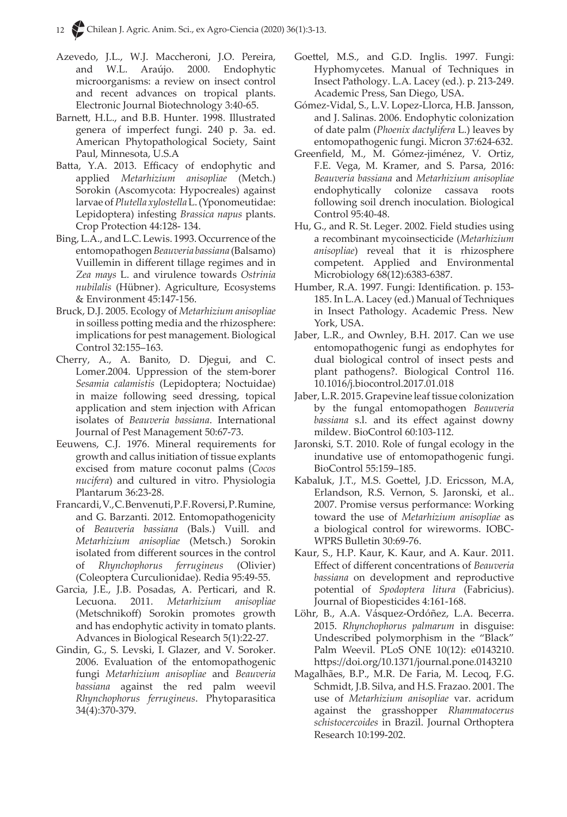- Azevedo, J.L., W.J. Maccheroni, J.O. Pereira, and W.L. Araújo. 2000. Endophytic microorganisms: a review on insect control and recent advances on tropical plants. Electronic Journal Biotechnology 3:40-65.
- Barnett, H.L., and B.B. Hunter. 1998. Illustrated genera of imperfect fungi. 240 p. 3a. ed. American Phytopathological Society, Saint Paul, Minnesota, U.S.A
- Batta, Y.A. 2013. Efficacy of endophytic and applied *Metarhizium anisopliae* (Metch.) Sorokin (Ascomycota: Hypocreales) against larvae of *Plutella xylostella* L. (Yponomeutidae: Lepidoptera) infesting *Brassica napus* plants. Crop Protection 44:128- 134.
- Bing, L.A., and L.C. Lewis. 1993. Occurrence of the entomopathogen *Beauveria bassiana* (Balsamo) Vuillemin in different tillage regimes and in *Zea mays* L. and virulence towards *Ostrinia nubilalis* (Hübner). Agriculture, Ecosystems & Environment 45:147-156.
- Bruck, D.J. 2005. Ecology of *Metarhizium anisopliae* in soilless potting media and the rhizosphere: implications for pest management. Biological Control 32:155–163.
- Cherry, A., A. Banito, D. Djegui, and C. Lomer.2004. Uppression of the stem-borer *Sesamia calamistis* (Lepidoptera; Noctuidae) in maize following seed dressing, topical application and stem injection with African isolates of *Beauveria bassiana*. International Journal of Pest Management 50:67-73.
- Eeuwens, C.J. 1976. Mineral requirements for growth and callus initiation of tissue explants excised from mature coconut palms (*Cocos nucifera*) and cultured in vitro. Physiologia Plantarum 36:23-28.
- Francardi, V., C. Benvenuti, P.F. Roversi, P. Rumine, and G. Barzanti. 2012. Entomopathogenicity of *Beauveria bassiana* (Bals.) Vuill. and *Metarhizium anisopliae* (Metsch.) Sorokin isolated from different sources in the control of *Rhynchophorus ferrugineus* (Olivier) (Coleoptera Curculionidae). Redia 95:49-55.
- Garcia, J.E., J.B. Posadas, A. Perticari, and R. Lecuona. 2011. *Metarhizium anisopliae* (Metschnikoff) Sorokin promotes growth and has endophytic activity in tomato plants. Advances in Biological Research 5(1):22-27.
- Gindin, G., S. Levski, I. Glazer, and V. Soroker. 2006. Evaluation of the entomopathogenic fungi *Metarhizium anisopliae* and *Beauveria bassiana* against the red palm weevil *Rhynchophorus ferrugineus*. Phytoparasitica 34(4):370-379.
- Goettel, M.S., and G.D. Inglis. 1997. Fungi: Hyphomycetes. Manual of Techniques in Insect Pathology. L.A. Lacey (ed.). p. 213-249. Academic Press, San Diego, USA.
- Gómez-Vidal, S., L.V. Lopez-Llorca, H.B. Jansson, and J. Salinas. 2006. Endophytic colonization of date palm (*Phoenix dactylifera* L.) leaves by entomopathogenic fungi. Micron 37:624-632.
- Greenfield, M., M. Gómez-jiménez, V. Ortiz, F.E. Vega, M. Kramer, and S. Parsa, 2016: *Beauveria bassiana* and *Metarhizium anisopliae* endophytically colonize cassava roots following soil drench inoculation. Biological Control 95:40-48.
- Hu, G., and R. St. Leger. 2002. Field studies using a recombinant mycoinsecticide (*Metarhizium anisopliae*) reveal that it is rhizosphere competent. Applied and Environmental Microbiology 68(12):6383-6387.
- Humber, R.A. 1997. Fungi: Identification. p. 153- 185. In L.A. Lacey (ed.) Manual of Techniques in Insect Pathology. Academic Press. New York, USA.
- Jaber, L.R., and Ownley, B.H. 2017. Can we use entomopathogenic fungi as endophytes for dual biological control of insect pests and plant pathogens?. Biological Control 116. 10.1016/j.biocontrol.2017.01.018
- Jaber, L.R. 2015. Grapevine leaf tissue colonization by the fungal entomopathogen *Beauveria bassiana* s.l. and its effect against downy mildew. BioControl 60:103-112.
- Jaronski, S.T. 2010. Role of fungal ecology in the inundative use of entomopathogenic fungi. BioControl 55:159–185.
- Kabaluk, J.T., M.S. Goettel, J.D. Ericsson, M.A, Erlandson, R.S. Vernon, S. Jaronski, et al.. 2007. Promise versus performance: Working toward the use of *Metarhizium anisopliae* as a biological control for wireworms. IOBC-WPRS Bulletin 30:69-76.
- Kaur, S., H.P. Kaur, K. Kaur, and A. Kaur. 2011. Effect of different concentrations of *Beauveria bassiana* on development and reproductive potential of *Spodoptera litura* (Fabricius). Journal of Biopesticides 4:161-168.
- Löhr, B., A.A. Vásquez-Ordóñez, L.A. Becerra. 2015. *Rhynchophorus palmarum* in disguise: Undescribed polymorphism in the "Black" Palm Weevil. PLoS ONE 10(12): e0143210. https://doi.org/10.1371/journal.pone.0143210
- Magalhães, B.P., M.R. De Faria, M. Lecoq, F.G. Schmidt, J.B. Silva, and H.S. Frazao. 2001. The use of *Metarhizium anisopliae* var. acridum against the grasshopper *Rhammatocerus schistocercoides* in Brazil. Journal Orthoptera Research 10:199-202.